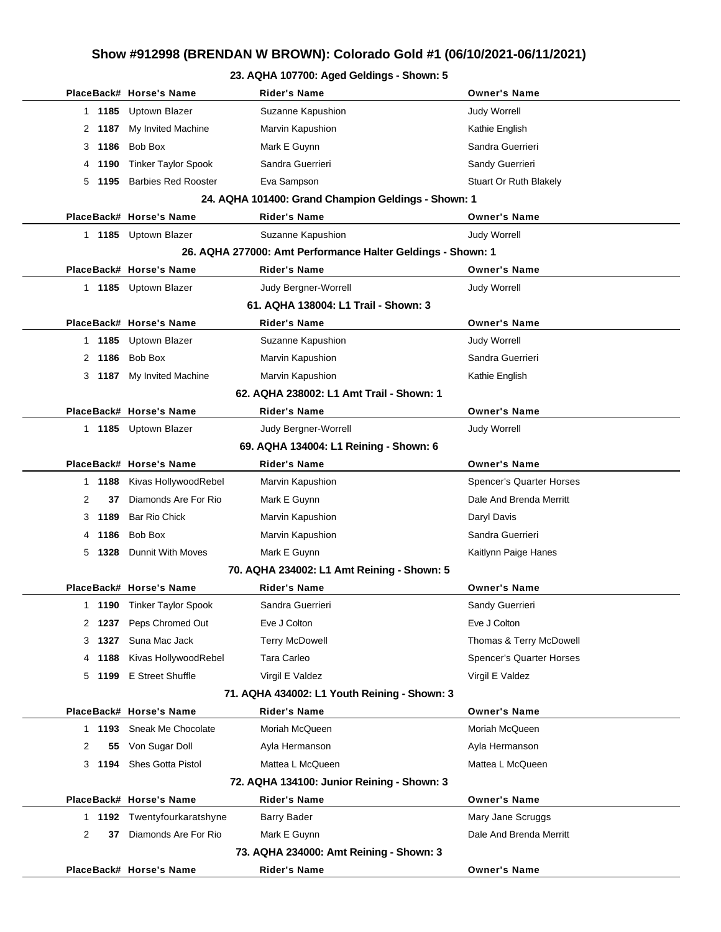## **Show #912998 (BRENDAN W BROWN): Colorado Gold #1 (06/10/2021-06/11/2021)**

## **23. AQHA 107700: Aged Geldings - Shown: 5**

|                                              | PlaceBack# Horse's Name         | <b>Rider's Name</b>                                         | <b>Owner's Name</b>             |  |  |
|----------------------------------------------|---------------------------------|-------------------------------------------------------------|---------------------------------|--|--|
| 1 1185                                       | Uptown Blazer                   | Suzanne Kapushion                                           | <b>Judy Worrell</b>             |  |  |
| 2 1187                                       | My Invited Machine              | Marvin Kapushion                                            | Kathie English                  |  |  |
| 3 1186                                       | Bob Box                         | Mark E Guynn                                                | Sandra Guerrieri                |  |  |
| 1190<br>4                                    | <b>Tinker Taylor Spook</b>      | Sandra Guerrieri                                            | Sandy Guerrieri                 |  |  |
| 5<br>1195                                    | <b>Barbies Red Rooster</b>      | Eva Sampson                                                 | Stuart Or Ruth Blakely          |  |  |
|                                              |                                 | 24. AQHA 101400: Grand Champion Geldings - Shown: 1         |                                 |  |  |
|                                              | PlaceBack# Horse's Name         | <b>Rider's Name</b>                                         | <b>Owner's Name</b>             |  |  |
|                                              | 1 1185 Uptown Blazer            | Suzanne Kapushion                                           | <b>Judy Worrell</b>             |  |  |
|                                              |                                 | 26. AQHA 277000: Amt Performance Halter Geldings - Shown: 1 |                                 |  |  |
|                                              | PlaceBack# Horse's Name         | <b>Rider's Name</b>                                         | <b>Owner's Name</b>             |  |  |
|                                              | 1 1185 Uptown Blazer            | Judy Bergner-Worrell                                        | <b>Judy Worrell</b>             |  |  |
|                                              |                                 | 61. AQHA 138004: L1 Trail - Shown: 3                        |                                 |  |  |
|                                              | PlaceBack# Horse's Name         | <b>Rider's Name</b>                                         | <b>Owner's Name</b>             |  |  |
|                                              | 1 1185 Uptown Blazer            | Suzanne Kapushion                                           | <b>Judy Worrell</b>             |  |  |
| 2 1186                                       | Bob Box                         | Marvin Kapushion                                            | Sandra Guerrieri                |  |  |
| 3                                            | 1187 My Invited Machine         | Marvin Kapushion                                            | Kathie English                  |  |  |
|                                              |                                 | 62. AQHA 238002: L1 Amt Trail - Shown: 1                    |                                 |  |  |
|                                              | PlaceBack# Horse's Name         | <b>Rider's Name</b>                                         | <b>Owner's Name</b>             |  |  |
|                                              | 1 1185 Uptown Blazer            | Judy Bergner-Worrell                                        | <b>Judy Worrell</b>             |  |  |
|                                              |                                 | 69. AQHA 134004: L1 Reining - Shown: 6                      |                                 |  |  |
|                                              | PlaceBack# Horse's Name         | <b>Rider's Name</b>                                         | <b>Owner's Name</b>             |  |  |
| 1 1188                                       | Kivas HollywoodRebel            | Marvin Kapushion                                            | <b>Spencer's Quarter Horses</b> |  |  |
| 2<br>37                                      | Diamonds Are For Rio            | Mark E Guynn                                                | Dale And Brenda Merritt         |  |  |
| 1189<br>3                                    | <b>Bar Rio Chick</b>            | Marvin Kapushion                                            | Daryl Davis                     |  |  |
| 1186<br>4                                    | Bob Box                         | Marvin Kapushion                                            | Sandra Guerrieri                |  |  |
| 5<br>1328                                    | Dunnit With Moves               | Mark E Guynn                                                | Kaitlynn Paige Hanes            |  |  |
|                                              |                                 | 70. AQHA 234002: L1 Amt Reining - Shown: 5                  |                                 |  |  |
|                                              | PlaceBack# Horse's Name         | <b>Rider's Name</b>                                         | <b>Owner's Name</b>             |  |  |
| 1                                            | <b>1190</b> Tinker Taylor Spook | Sandra Guerrieri                                            | Sandy Guerrieri                 |  |  |
|                                              | 2 1237 Peps Chromed Out         | Eve J Colton                                                | Eve J Colton                    |  |  |
| 3 1327                                       | Suna Mac Jack                   | <b>Terry McDowell</b>                                       | Thomas & Terry McDowell         |  |  |
| 1188<br>4                                    | Kivas HollywoodRebel            | Tara Carleo                                                 | <b>Spencer's Quarter Horses</b> |  |  |
| 5                                            | 1199 E Street Shuffle           | Virgil E Valdez                                             | Virgil E Valdez                 |  |  |
| 71. AQHA 434002: L1 Youth Reining - Shown: 3 |                                 |                                                             |                                 |  |  |
|                                              | PlaceBack# Horse's Name         | <b>Rider's Name</b>                                         | <b>Owner's Name</b>             |  |  |
| 1 1193                                       | Sneak Me Chocolate              | Moriah McQueen                                              | Moriah McQueen                  |  |  |
| 55<br>2                                      | Von Sugar Doll                  | Ayla Hermanson                                              | Ayla Hermanson                  |  |  |
| 1194<br>3                                    | <b>Shes Gotta Pistol</b>        | Mattea L McQueen                                            | Mattea L McQueen                |  |  |
| 72. AQHA 134100: Junior Reining - Shown: 3   |                                 |                                                             |                                 |  |  |
|                                              | PlaceBack# Horse's Name         | <b>Rider's Name</b>                                         | <b>Owner's Name</b>             |  |  |
|                                              | 1 1192 Twentyfourkaratshyne     | <b>Barry Bader</b>                                          | Mary Jane Scruggs               |  |  |
| $\overline{2}$<br>37                         | Diamonds Are For Rio            | Mark E Guynn                                                | Dale And Brenda Merritt         |  |  |
| 73. AQHA 234000: Amt Reining - Shown: 3      |                                 |                                                             |                                 |  |  |
|                                              | PlaceBack# Horse's Name         | <b>Rider's Name</b>                                         | <b>Owner's Name</b>             |  |  |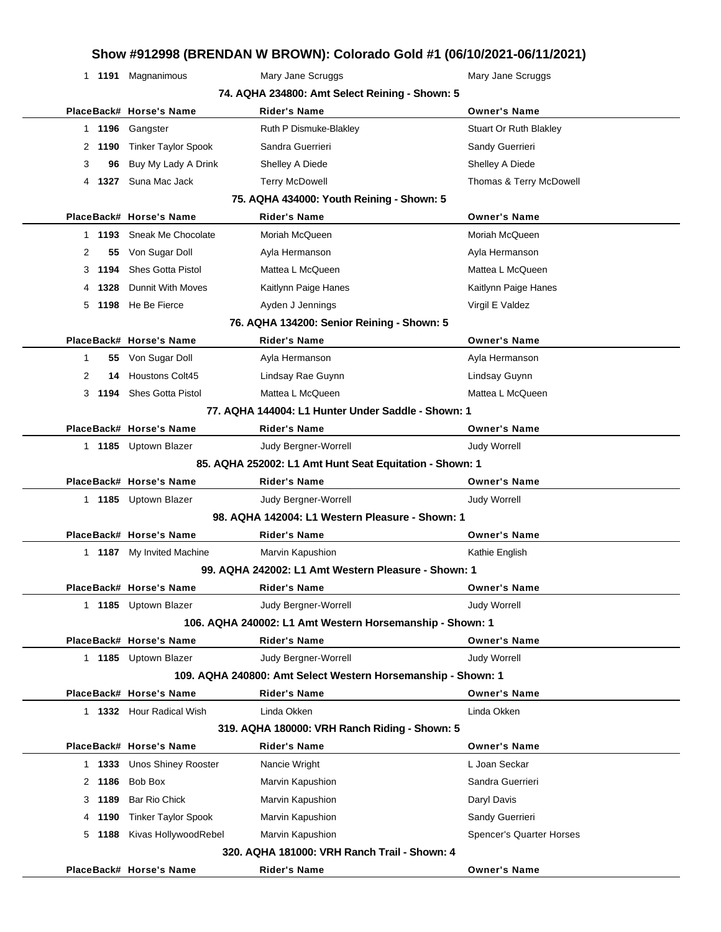## **Show #912998 (BRENDAN W BROWN): Colorado Gold #1 (06/10/2021-06/11/2021)**

|                                                              |                                                | 1 1191 Magnanimous         | Mary Jane Scruggs                                        | Mary Jane Scruggs        |  |  |
|--------------------------------------------------------------|------------------------------------------------|----------------------------|----------------------------------------------------------|--------------------------|--|--|
|                                                              | 74. AQHA 234800: Amt Select Reining - Shown: 5 |                            |                                                          |                          |  |  |
|                                                              |                                                | PlaceBack# Horse's Name    | <b>Rider's Name</b>                                      | <b>Owner's Name</b>      |  |  |
|                                                              |                                                | 1 1196 Gangster            | Ruth P Dismuke-Blakley                                   | Stuart Or Ruth Blakley   |  |  |
|                                                              |                                                | 2 1190 Tinker Taylor Spook | Sandra Guerrieri                                         | Sandy Guerrieri          |  |  |
|                                                              | 3<br>96                                        | Buy My Lady A Drink        | Shelley A Diede                                          | Shelley A Diede          |  |  |
|                                                              |                                                | 4 1327 Suna Mac Jack       | <b>Terry McDowell</b>                                    | Thomas & Terry McDowell  |  |  |
|                                                              |                                                |                            | 75. AQHA 434000: Youth Reining - Shown: 5                |                          |  |  |
|                                                              |                                                | PlaceBack# Horse's Name    | <b>Rider's Name</b>                                      | <b>Owner's Name</b>      |  |  |
|                                                              |                                                | 1 1193 Sneak Me Chocolate  | Moriah McQueen                                           | Moriah McQueen           |  |  |
|                                                              | 2<br>55                                        | Von Sugar Doll             | Ayla Hermanson                                           | Ayla Hermanson           |  |  |
|                                                              | 1194<br>3                                      | <b>Shes Gotta Pistol</b>   | Mattea L McQueen                                         | Mattea L McQueen         |  |  |
|                                                              | 1328<br>4                                      | Dunnit With Moves          | Kaitlynn Paige Hanes                                     | Kaitlynn Paige Hanes     |  |  |
|                                                              | 5                                              | 1198 He Be Fierce          | Ayden J Jennings                                         | Virgil E Valdez          |  |  |
|                                                              |                                                |                            | 76. AQHA 134200: Senior Reining - Shown: 5               |                          |  |  |
|                                                              |                                                | PlaceBack# Horse's Name    | <b>Rider's Name</b>                                      | <b>Owner's Name</b>      |  |  |
|                                                              | 1                                              | 55 Von Sugar Doll          | Ayla Hermanson                                           | Ayla Hermanson           |  |  |
|                                                              | 2                                              | 14 Houstons Colt45         | Lindsay Rae Guynn                                        | Lindsay Guynn            |  |  |
|                                                              |                                                | 3 1194 Shes Gotta Pistol   | Mattea L McQueen                                         | Mattea L McQueen         |  |  |
|                                                              |                                                |                            | 77. AQHA 144004: L1 Hunter Under Saddle - Shown: 1       |                          |  |  |
|                                                              |                                                | PlaceBack# Horse's Name    | <b>Rider's Name</b>                                      | <b>Owner's Name</b>      |  |  |
|                                                              |                                                | 1 1185 Uptown Blazer       | Judy Bergner-Worrell                                     | <b>Judy Worrell</b>      |  |  |
|                                                              |                                                |                            | 85. AQHA 252002: L1 Amt Hunt Seat Equitation - Shown: 1  |                          |  |  |
|                                                              |                                                | PlaceBack# Horse's Name    | <b>Rider's Name</b>                                      | <b>Owner's Name</b>      |  |  |
|                                                              |                                                | 1 1185 Uptown Blazer       | Judy Bergner-Worrell                                     | <b>Judy Worrell</b>      |  |  |
|                                                              |                                                |                            | 98. AQHA 142004: L1 Western Pleasure - Shown: 1          |                          |  |  |
|                                                              |                                                | PlaceBack# Horse's Name    | Rider's Name                                             | <b>Owner's Name</b>      |  |  |
|                                                              |                                                | 1 1187 My Invited Machine  | Marvin Kapushion                                         | Kathie English           |  |  |
|                                                              |                                                |                            | 99. AQHA 242002: L1 Amt Western Pleasure - Shown: 1      |                          |  |  |
|                                                              |                                                | PlaceBack# Horse's Name    | Rider's Name                                             | <b>Owner's Name</b>      |  |  |
|                                                              |                                                | 1 1185 Uptown Blazer       | <b>Judy Bergner-Worrell</b>                              | <b>Judy Worrell</b>      |  |  |
|                                                              |                                                |                            | 106. AQHA 240002: L1 Amt Western Horsemanship - Shown: 1 |                          |  |  |
|                                                              |                                                | PlaceBack# Horse's Name    | <b>Rider's Name</b>                                      | <b>Owner's Name</b>      |  |  |
|                                                              |                                                | 1 1185 Uptown Blazer       | Judy Bergner-Worrell                                     | <b>Judy Worrell</b>      |  |  |
| 109. AQHA 240800: Amt Select Western Horsemanship - Shown: 1 |                                                |                            |                                                          |                          |  |  |
|                                                              |                                                | PlaceBack# Horse's Name    | <b>Rider's Name</b>                                      | <b>Owner's Name</b>      |  |  |
|                                                              |                                                | 1 1332 Hour Radical Wish   | Linda Okken                                              | Linda Okken              |  |  |
|                                                              | 319. AQHA 180000: VRH Ranch Riding - Shown: 5  |                            |                                                          |                          |  |  |
|                                                              |                                                | PlaceBack# Horse's Name    | <b>Rider's Name</b>                                      | <b>Owner's Name</b>      |  |  |
|                                                              |                                                | 1 1333 Unos Shiney Rooster | Nancie Wright                                            | L Joan Seckar            |  |  |
|                                                              | 2 1186                                         | Bob Box                    | Marvin Kapushion                                         | Sandra Guerrieri         |  |  |
|                                                              | 1189<br>3                                      | Bar Rio Chick              | Marvin Kapushion                                         | Daryl Davis              |  |  |
|                                                              | 1190<br>4                                      | <b>Tinker Taylor Spook</b> | Marvin Kapushion                                         | Sandy Guerrieri          |  |  |
|                                                              | 5                                              | 1188 Kivas HollywoodRebel  | Marvin Kapushion                                         | Spencer's Quarter Horses |  |  |
|                                                              | 320, AQHA 181000: VRH Ranch Trail - Shown: 4   |                            |                                                          |                          |  |  |
|                                                              |                                                | PlaceBack# Horse's Name    | <b>Rider's Name</b>                                      | <b>Owner's Name</b>      |  |  |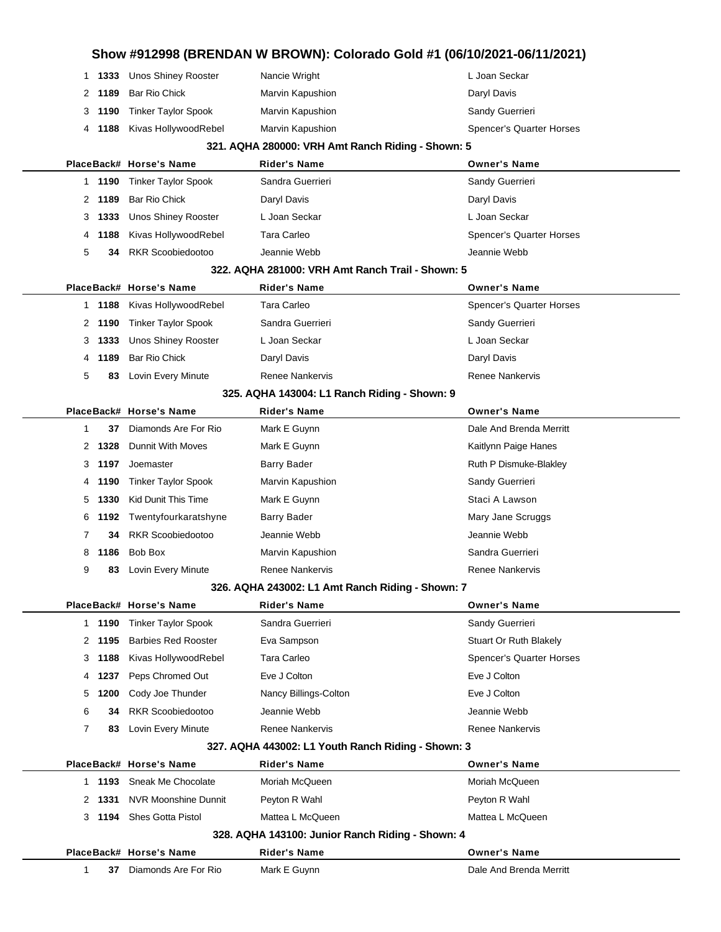| 3                    | 1333   | <b>Unos Shiney Rooster</b> | L Joan Seckar                                                | L Joan Seckar            |
|----------------------|--------|----------------------------|--------------------------------------------------------------|--------------------------|
|                      | 1 1190 | <b>Tinker Taylor Spook</b> | Sandra Guerrieri                                             | Sandy Guerrieri          |
| 2                    | 1189   | Bar Rio Chick              | Daryl Davis                                                  | Daryl Davis              |
| 4                    | 1188   | Kivas HollywoodRebel       | Tara Carleo                                                  | Spencer's Quarter Horses |
| 5                    | 34     | <b>RKR Scoobiedootoo</b>   | Jeannie Webb                                                 | Jeannie Webb             |
|                      |        |                            | 322. AQHA 281000: VRH Amt Ranch Trail - Shown: 5             |                          |
|                      |        | PlaceBack# Horse's Name    | <b>Rider's Name</b>                                          | <b>Owner's Name</b>      |
|                      | 1 1188 | Kivas HollywoodRebel       | Tara Carleo                                                  | Spencer's Quarter Horses |
| 2                    | 1190   | <b>Tinker Taylor Spook</b> | Sandra Guerrieri                                             | Sandy Guerrieri          |
| 3                    | 1333   | Unos Shiney Rooster        | L Joan Seckar                                                | L Joan Seckar            |
|                      | 1189   | Bar Rio Chick              |                                                              |                          |
| 4                    |        |                            | Daryl Davis                                                  | Daryl Davis              |
| 5                    | 83     | Lovin Every Minute         | <b>Renee Nankervis</b>                                       | <b>Renee Nankervis</b>   |
|                      |        | PlaceBack# Horse's Name    | 325. AQHA 143004: L1 Ranch Riding - Shown: 9<br>Rider's Name | <b>Owner's Name</b>      |
|                      |        |                            |                                                              |                          |
| 1                    | 37     | Diamonds Are For Rio       | Mark E Guynn                                                 | Dale And Brenda Merritt  |
| 2                    | 1328   | <b>Dunnit With Moves</b>   | Mark E Guynn                                                 | Kaitlynn Paige Hanes     |
| 3                    | 1197   | Joemaster                  | <b>Barry Bader</b>                                           | Ruth P Dismuke-Blakley   |
| 4                    | 1190   | <b>Tinker Taylor Spook</b> | Marvin Kapushion                                             | Sandy Guerrieri          |
| 5                    | 1330   | <b>Kid Dunit This Time</b> | Mark E Guynn                                                 | Staci A Lawson           |
| 6                    | 1192   | Twentyfourkaratshyne       | <b>Barry Bader</b>                                           | Mary Jane Scruggs        |
| 7                    | 34     | <b>RKR Scoobiedootoo</b>   | Jeannie Webb                                                 | Jeannie Webb             |
| 8                    | 1186   | Bob Box                    | Marvin Kapushion                                             | Sandra Guerrieri         |
| 9                    | 83     | Lovin Every Minute         | Renee Nankervis                                              | Renee Nankervis          |
|                      |        |                            | 326. AQHA 243002: L1 Amt Ranch Riding - Shown: 7             |                          |
|                      |        | PlaceBack# Horse's Name    | <b>Rider's Name</b>                                          | <b>Owner's Name</b>      |
|                      | 1 1190 | <b>Tinker Taylor Spook</b> | Sandra Guerrieri                                             | Sandy Guerrieri          |
| $\mathbf{2}^{\circ}$ | 1195   | <b>Barbies Red Rooster</b> | Eva Sampson                                                  | Stuart Or Ruth Blakely   |
| 3                    | 1188   | Kivas HollywoodRebel       | Tara Carleo                                                  | Spencer's Quarter Horses |
| 4                    | 1237   | Peps Chromed Out           | Eve J Colton                                                 | Eve J Colton             |
| 5                    | 1200   | Cody Joe Thunder           | Nancy Billings-Colton                                        | Eve J Colton             |
| 6                    | 34     | RKR Scoobiedootoo          | Jeannie Webb                                                 | Jeannie Webb             |
| 7                    | 83     | Lovin Every Minute         | <b>Renee Nankervis</b>                                       | Renee Nankervis          |
|                      |        |                            | 327. AQHA 443002: L1 Youth Ranch Riding - Shown: 3           |                          |
|                      |        | PlaceBack# Horse's Name    | <b>Rider's Name</b>                                          | <b>Owner's Name</b>      |
|                      | 1 1193 | Sneak Me Chocolate         | Moriah McQueen                                               | Moriah McQueen           |
|                      | 2 1331 | NVR Moonshine Dunnit       | Peyton R Wahl                                                | Peyton R Wahl            |
|                      |        | <b>Shes Gotta Pistol</b>   | Mattea L McQueen                                             | Mattea L McQueen         |
| 3                    | 1194   |                            |                                                              |                          |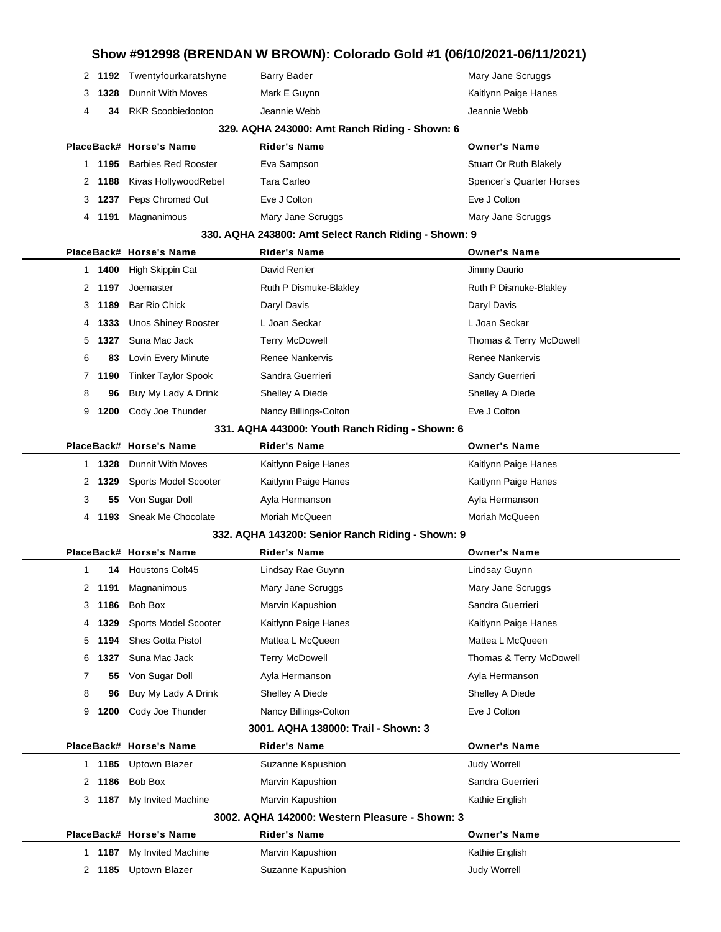| Show #912998 (BRENDAN W BROWN): Colorado Gold #1 (06/10/2021-06/11/2021) |                                                |        |                                               |                                                                         |                                    |  |  |
|--------------------------------------------------------------------------|------------------------------------------------|--------|-----------------------------------------------|-------------------------------------------------------------------------|------------------------------------|--|--|
|                                                                          |                                                |        | 2 1192 Twentyfourkaratshyne                   | <b>Barry Bader</b>                                                      | Mary Jane Scruggs                  |  |  |
|                                                                          | 3                                              | 1328   | Dunnit With Moves                             | Mark E Guynn                                                            | Kaitlynn Paige Hanes               |  |  |
|                                                                          | 4                                              | 34     | <b>RKR Scoobiedootoo</b>                      | Jeannie Webb                                                            | Jeannie Webb                       |  |  |
|                                                                          | 329. AQHA 243000: Amt Ranch Riding - Shown: 6  |        |                                               |                                                                         |                                    |  |  |
|                                                                          |                                                |        | PlaceBack# Horse's Name                       | <b>Rider's Name</b>                                                     | <b>Owner's Name</b>                |  |  |
|                                                                          |                                                | 1 1195 | <b>Barbies Red Rooster</b>                    | Eva Sampson                                                             | Stuart Or Ruth Blakely             |  |  |
|                                                                          | 2                                              | 1188   | Kivas HollywoodRebel                          | <b>Tara Carleo</b>                                                      | Spencer's Quarter Horses           |  |  |
|                                                                          | 3                                              | 1237   | Peps Chromed Out                              | Eve J Colton                                                            | Eve J Colton                       |  |  |
|                                                                          | 4                                              | 1191   | Magnanimous                                   | Mary Jane Scruggs                                                       | Mary Jane Scruggs                  |  |  |
|                                                                          |                                                |        |                                               | 330. AQHA 243800: Amt Select Ranch Riding - Shown: 9                    |                                    |  |  |
|                                                                          |                                                |        | PlaceBack# Horse's Name                       | <b>Rider's Name</b>                                                     | <b>Owner's Name</b>                |  |  |
|                                                                          |                                                | 1 1400 | High Skippin Cat                              | David Renier                                                            | Jimmy Daurio                       |  |  |
|                                                                          | 2                                              | 1197   | Joemaster                                     | Ruth P Dismuke-Blakley                                                  | Ruth P Dismuke-Blakley             |  |  |
|                                                                          | 3                                              | 1189   | <b>Bar Rio Chick</b>                          | Daryl Davis                                                             | Daryl Davis                        |  |  |
|                                                                          | 4                                              | 1333   | <b>Unos Shiney Rooster</b>                    | L Joan Seckar                                                           | L Joan Seckar                      |  |  |
|                                                                          | 5                                              | 1327   | Suna Mac Jack                                 | <b>Terry McDowell</b>                                                   | Thomas & Terry McDowell            |  |  |
|                                                                          | 6                                              | 83     | Lovin Every Minute                            | <b>Renee Nankervis</b>                                                  | Renee Nankervis                    |  |  |
|                                                                          |                                                | 7 1190 | <b>Tinker Taylor Spook</b>                    | Sandra Guerrieri                                                        | Sandy Guerrieri                    |  |  |
|                                                                          | 8                                              | 96     | Buy My Lady A Drink                           | Shelley A Diede                                                         | Shelley A Diede                    |  |  |
|                                                                          | 9                                              | 1200   | Cody Joe Thunder                              | Nancy Billings-Colton                                                   | Eve J Colton                       |  |  |
|                                                                          |                                                |        |                                               | 331. AQHA 443000: Youth Ranch Riding - Shown: 6                         |                                    |  |  |
|                                                                          |                                                |        | PlaceBack# Horse's Name                       | <b>Rider's Name</b>                                                     | <b>Owner's Name</b>                |  |  |
|                                                                          |                                                | 1 1328 | <b>Dunnit With Moves</b>                      | Kaitlynn Paige Hanes                                                    | Kaitlynn Paige Hanes               |  |  |
|                                                                          | 2                                              | 1329   | Sports Model Scooter                          | Kaitlynn Paige Hanes                                                    | Kaitlynn Paige Hanes               |  |  |
|                                                                          | 3                                              | 55     | Von Sugar Doll                                | Ayla Hermanson                                                          | Ayla Hermanson                     |  |  |
|                                                                          | 4                                              | 1193   | Sneak Me Chocolate                            | Moriah McQueen                                                          | Moriah McQueen                     |  |  |
|                                                                          |                                                |        |                                               | 332. AQHA 143200: Senior Ranch Riding - Shown: 9<br><b>Rider's Name</b> |                                    |  |  |
|                                                                          | 1                                              |        | PlaceBack# Horse's Name<br>14 Houstons Colt45 |                                                                         | <b>Owner's Name</b>                |  |  |
|                                                                          | 2                                              | 1191   | Magnanimous                                   | Lindsay Rae Guynn<br>Mary Jane Scruggs                                  | Lindsay Guynn<br>Mary Jane Scruggs |  |  |
|                                                                          | 3                                              | 1186   | Bob Box                                       | Marvin Kapushion                                                        | Sandra Guerrieri                   |  |  |
|                                                                          | 4                                              | 1329   | Sports Model Scooter                          | Kaitlynn Paige Hanes                                                    | Kaitlynn Paige Hanes               |  |  |
|                                                                          | 5                                              | 1194   | <b>Shes Gotta Pistol</b>                      | Mattea L McQueen                                                        | Mattea L McQueen                   |  |  |
|                                                                          | 6                                              | 1327   | Suna Mac Jack                                 | <b>Terry McDowell</b>                                                   | Thomas & Terry McDowell            |  |  |
|                                                                          | 7                                              | 55     | Von Sugar Doll                                | Ayla Hermanson                                                          | Ayla Hermanson                     |  |  |
|                                                                          | 8                                              | 96     | Buy My Lady A Drink                           | Shelley A Diede                                                         | Shelley A Diede                    |  |  |
|                                                                          | 9                                              | 1200   | Cody Joe Thunder                              | Nancy Billings-Colton                                                   | Eve J Colton                       |  |  |
| 3001. AQHA 138000: Trail - Shown: 3                                      |                                                |        |                                               |                                                                         |                                    |  |  |
| PlaceBack# Horse's Name<br><b>Rider's Name</b><br><b>Owner's Name</b>    |                                                |        |                                               |                                                                         |                                    |  |  |
|                                                                          |                                                | 1 1185 | <b>Uptown Blazer</b>                          | Suzanne Kapushion                                                       | <b>Judy Worrell</b>                |  |  |
|                                                                          | 2                                              | 1186   | Bob Box                                       | Marvin Kapushion                                                        | Sandra Guerrieri                   |  |  |
|                                                                          | 3                                              | 1187   | My Invited Machine                            | Marvin Kapushion                                                        | Kathie English                     |  |  |
|                                                                          | 3002, AQHA 142000: Western Pleasure - Shown: 3 |        |                                               |                                                                         |                                    |  |  |
|                                                                          |                                                |        | PlaceBack# Horse's Name                       | <b>Rider's Name</b>                                                     | <b>Owner's Name</b>                |  |  |
|                                                                          |                                                | 1 1187 | My Invited Machine                            | Marvin Kapushion                                                        | Kathie English                     |  |  |
|                                                                          | 2                                              | 1185   | <b>Uptown Blazer</b>                          | Suzanne Kapushion                                                       | Judy Worrell                       |  |  |
|                                                                          |                                                |        |                                               |                                                                         |                                    |  |  |